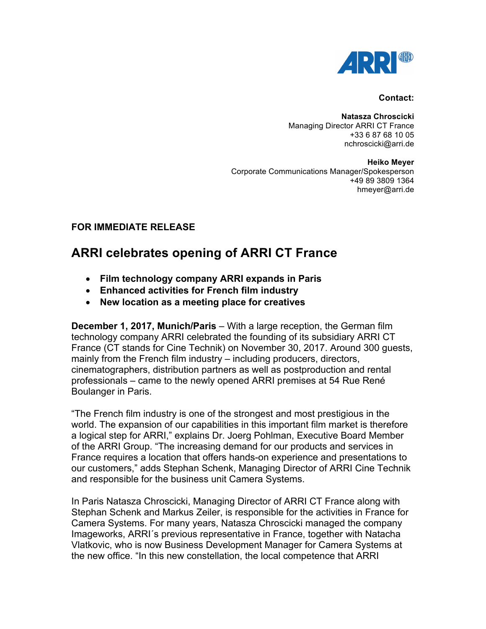

## **Contact:**

**Natasza Chroscicki** Managing Director ARRI CT France +33 6 87 68 10 05 nchroscicki@arri.de

**Heiko Meyer** Corporate Communications Manager/Spokesperson +49 89 3809 1364 hmeyer@arri.de

## **FOR IMMEDIATE RELEASE**

## **ARRI celebrates opening of ARRI CT France**

- **Film technology company ARRI expands in Paris**
- **Enhanced activities for French film industry**
- **New location as a meeting place for creatives**

**December 1, 2017, Munich/Paris** – With a large reception, the German film technology company ARRI celebrated the founding of its subsidiary ARRI CT France (CT stands for Cine Technik) on November 30, 2017. Around 300 guests, mainly from the French film industry – including producers, directors, cinematographers, distribution partners as well as postproduction and rental professionals – came to the newly opened ARRI premises at 54 Rue René Boulanger in Paris.

"The French film industry is one of the strongest and most prestigious in the world. The expansion of our capabilities in this important film market is therefore a logical step for ARRI," explains Dr. Joerg Pohlman, Executive Board Member of the ARRI Group. "The increasing demand for our products and services in France requires a location that offers hands-on experience and presentations to our customers," adds Stephan Schenk, Managing Director of ARRI Cine Technik and responsible for the business unit Camera Systems.

In Paris Natasza Chroscicki, Managing Director of ARRI CT France along with Stephan Schenk and Markus Zeiler, is responsible for the activities in France for Camera Systems. For many years, Natasza Chroscicki managed the company Imageworks, ARRI´s previous representative in France, together with Natacha Vlatkovic, who is now Business Development Manager for Camera Systems at the new office. "In this new constellation, the local competence that ARRI